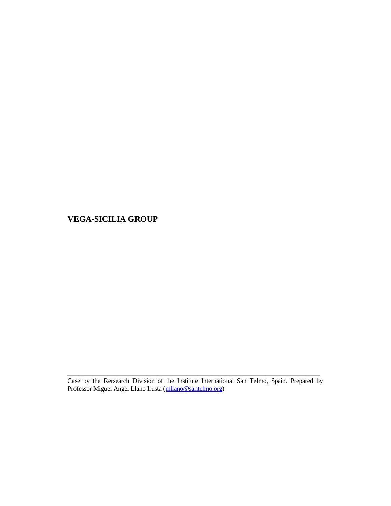\_\_\_\_\_\_\_\_\_\_\_\_\_\_\_\_\_\_\_\_\_\_\_\_\_\_\_\_\_\_\_\_\_\_\_\_\_\_\_\_\_\_\_\_\_\_\_\_\_\_\_\_\_\_\_\_\_\_\_\_\_\_\_\_\_\_\_\_\_\_ Case by the Rersearch Division of the Institute International San Telmo, Spain. Prepared by Professor Miguel Angel Llano Irusta (mllano@santelmo.org)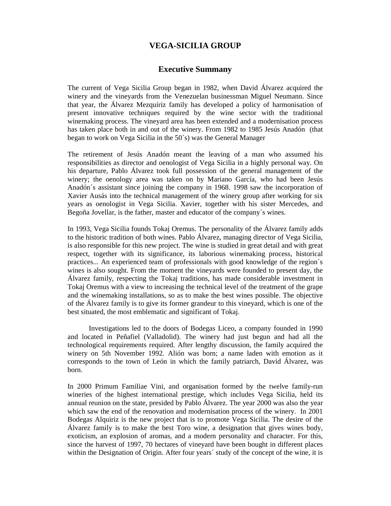## **Executive Summany**

The current of Vega Sicilia Group began in 1982, when David Álvarez acquired the winery and the vineyards from the Venezuelan businessman Miguel Neumann. Since that year, the Álvarez Mezquíriz family has developed a policy of harmonisation of present innovative techniques required by the wine sector with the traditional winemaking process. The vineyard area has been extended and a modernisation process has taken place both in and out of the winery. From 1982 to 1985 Jesús Anadón (that began to work on Vega Sicilia in the 50´s) was the General Manager

The retirement of Jesús Anadón meant the leaving of a man who assumed his responsibilities as director and oenologist of Vega Sicilia in a highly personal way. On his departure, Pablo Álvarez took full possession of the general management of the winery; the oenology area was taken on by Mariano García, who had been Jesús Anadón´s assistant since joining the company in 1968. 1998 saw the incorporation of Xavier Ausás into the technical management of the winery group after working for six years as oenologist in Vega Sicilia. Xavier, together with his sister Mercedes, and Begoña Jovellar, is the father, master and educator of the company´s wines.

In 1993, Vega Sicilia founds Tokaj Oremus. The personality of the Álvarez family adds to the historic tradition of both wines. Pablo Álvarez, managing director of Vega Sicilia, is also responsible for this new project. The wine is studied in great detail and with great respect, together with its significance, its laborious winemaking process, historical practices... An experienced team of professionals with good knowledge of the region´s wines is also sought. From the moment the vineyards were founded to present day, the Álvarez family, respecting the Tokaj traditions, has made considerable investment in Tokaj Oremus with a view to increasing the technical level of the treatment of the grape and the winemaking installations, so as to make the best wines possible. The objective of the Álvarez family is to give its former grandeur to this vineyard, which is one of the best situated, the most emblematic and significant of Tokaj.

 Investigations led to the doors of Bodegas Liceo, a company founded in 1990 and located in Peñafiel (Valladolid). The winery had just begun and had all the technological requirements required. After lengthy discussion, the family acquired the winery on 5th November 1992. Alión was born; a name laden with emotion as it corresponds to the town of León in which the family patriarch, David Álvarez, was born.

In 2000 Primum Familiae Vini, and organisation formed by the twelve family-run wineries of the highest international prestige, which includes Vega Sicilia, held its annual reunion on the state, presided by Pablo Álvarez. The year 2000 was also the year which saw the end of the renovation and modernisation process of the winery. In 2001 Bodegas Alquiriz is the new project that is to promote Vega Sicilia. The desire of the Álvarez family is to make the best Toro wine, a designation that gives wines body, exoticism, an explosion of aromas, and a modern personality and character. For this, since the harvest of 1997, 70 hectares of vineyard have been bought in different places within the Designation of Origin. After four years' study of the concept of the wine, it is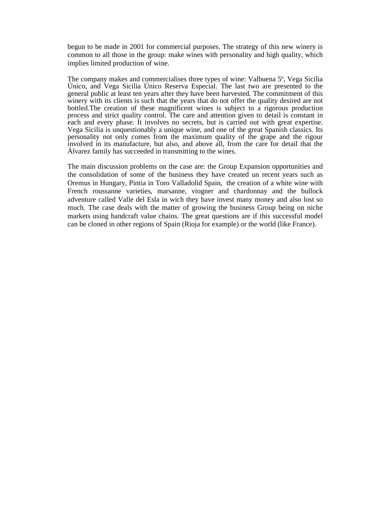begun to be made in 2001 for commercial purposes. The strategy of this new winery is common to all those in the group: make wines with personality and high quality, which implies limited production of wine.

The company makes and commercialises three types of wine: Valbuena 5º, Vega Sicilia Único, and Vega Sicilia Único Reserva Especial. The last two are presented to the general public at least ten years after they have been harvested. The commitment of this winery with its clients is such that the years that do not offer the quality desired are not bottled.The creation of these magnificent wines is subject to a rigorous production process and strict quality control. The care and attention given to detail is constant in each and every phase. It involves no secrets, but is carried out with great expertise. Vega Sicilia is unquestionably a unique wine, and one of the great Spanish classics. Its personality not only comes from the maximum quality of the grape and the rigour involved in its manufacture, but also, and above all, from the care for detail that the Álvarez family has succeeded in transmitting to the wines.

The main discussion problems on the case are: the Group Expansion opportunities and the consolidation of some of the business they have created un recent years such as Oremus in Hungary, Pintia in Toro Valladolid Spain, the creation of a white wine with French roussanne varieties, marsanne, viogner and chardonnay and the bullock adventure called Valle del Esla in wich they have invest many money and also lost so much. The case deals with the matter of growing the business Group being on niche markets using handcraft value chains. The great questions are if this successful model can be cloned in other regions of Spain (Rioja for example) or the world (like France).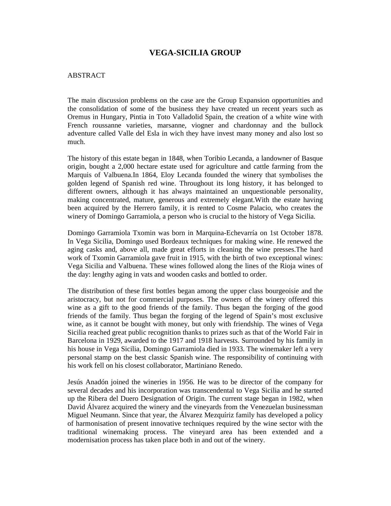#### **ABSTRACT**

The main discussion problems on the case are the Group Expansion opportunities and the consolidation of some of the business they have created un recent years such as Oremus in Hungary, Pintia in Toto Valladolid Spain, the creation of a white wine with French roussanne varieties, marsanne, viogner and chardonnay and the bullock adventure called Valle del Esla in wich they have invest many money and also lost so much.

The history of this estate began in 1848, when Toribio Lecanda, a landowner of Basque origin, bought a 2,000 hectare estate used for agriculture and cattle farming from the Marquis of Valbuena.In 1864, Eloy Lecanda founded the winery that symbolises the golden legend of Spanish red wine. Throughout its long history, it has belonged to different owners, although it has always maintained an unquestionable personality, making concentrated, mature, generous and extremely elegant.With the estate having been acquired by the Herrero family, it is rented to Cosme Palacio, who creates the winery of Domingo Garramiola, a person who is crucial to the history of Vega Sicilia.

Domingo Garramiola Txomin was born in Marquina-Echevarría on 1st October 1878. In Vega Sicilia, Domingo used Bordeaux techniques for making wine. He renewed the aging casks and, above all, made great efforts in cleaning the wine presses.The hard work of Txomin Garramiola gave fruit in 1915, with the birth of two exceptional wines: Vega Sicilia and Valbuena. These wines followed along the lines of the Rioja wines of the day: lengthy aging in vats and wooden casks and bottled to order.

The distribution of these first bottles began among the upper class bourgeoisie and the aristocracy, but not for commercial purposes. The owners of the winery offered this wine as a gift to the good friends of the family. Thus began the forging of the good friends of the family. Thus began the forging of the legend of Spain's most exclusive wine, as it cannot be bought with money, but only with friendship. The wines of Vega Sicilia reached great public recognition thanks to prizes such as that of the World Fair in Barcelona in 1929, awarded to the 1917 and 1918 harvests. Surrounded by his family in his house in Vega Sicilia, Domingo Garramiola died in 1933. The winemaker left a very personal stamp on the best classic Spanish wine. The responsibility of continuing with his work fell on his closest collaborator, Martiniano Renedo.

Jesús Anadón joined the wineries in 1956. He was to be director of the company for several decades and his incorporation was transcendental to Vega Sicilia and he started up the Ribera del Duero Designation of Origin. The current stage began in 1982, when David Álvarez acquired the winery and the vineyards from the Venezuelan businessman Miguel Neumann. Since that year, the Álvarez Mezquíriz family has developed a policy of harmonisation of present innovative techniques required by the wine sector with the traditional winemaking process. The vineyard area has been extended and a modernisation process has taken place both in and out of the winery.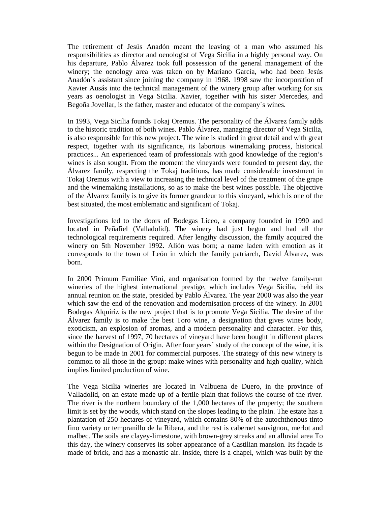The retirement of Jesús Anadón meant the leaving of a man who assumed his responsibilities as director and oenologist of Vega Sicilia in a highly personal way. On his departure, Pablo Álvarez took full possession of the general management of the winery; the oenology area was taken on by Mariano García, who had been Jesús Anadón´s assistant since joining the company in 1968. 1998 saw the incorporation of Xavier Ausás into the technical management of the winery group after working for six years as oenologist in Vega Sicilia. Xavier, together with his sister Mercedes, and Begoña Jovellar, is the father, master and educator of the company´s wines.

In 1993, Vega Sicilia founds Tokaj Oremus. The personality of the Álvarez family adds to the historic tradition of both wines. Pablo Álvarez, managing director of Vega Sicilia, is also responsible for this new project. The wine is studied in great detail and with great respect, together with its significance, its laborious winemaking process, historical practices... An experienced team of professionals with good knowledge of the region's wines is also sought. From the moment the vineyards were founded to present day, the Álvarez family, respecting the Tokaj traditions, has made considerable investment in Tokaj Oremus with a view to increasing the technical level of the treatment of the grape and the winemaking installations, so as to make the best wines possible. The objective of the Álvarez family is to give its former grandeur to this vineyard, which is one of the best situated, the most emblematic and significant of Tokaj.

Investigations led to the doors of Bodegas Liceo, a company founded in 1990 and located in Peñafiel (Valladolid). The winery had just begun and had all the technological requirements required. After lengthy discussion, the family acquired the winery on 5th November 1992. Alión was born; a name laden with emotion as it corresponds to the town of León in which the family patriarch, David Álvarez, was born.

In 2000 Primum Familiae Vini, and organisation formed by the twelve family-run wineries of the highest international prestige, which includes Vega Sicilia, held its annual reunion on the state, presided by Pablo Álvarez. The year 2000 was also the year which saw the end of the renovation and modernisation process of the winery. In 2001 Bodegas Alquiriz is the new project that is to promote Vega Sicilia. The desire of the Álvarez family is to make the best Toro wine, a designation that gives wines body, exoticism, an explosion of aromas, and a modern personality and character. For this, since the harvest of 1997, 70 hectares of vineyard have been bought in different places within the Designation of Origin. After four years' study of the concept of the wine, it is begun to be made in 2001 for commercial purposes. The strategy of this new winery is common to all those in the group: make wines with personality and high quality, which implies limited production of wine.

The Vega Sicilia wineries are located in Valbuena de Duero, in the province of Valladolid, on an estate made up of a fertile plain that follows the course of the river. The river is the northern boundary of the 1,000 hectares of the property; the southern limit is set by the woods, which stand on the slopes leading to the plain. The estate has a plantation of 250 hectares of vineyard, which contains 80% of the autochthonous tinto fino variety or tempranillo de la Ribera, and the rest is cabernet sauvignon, merlot and malbec. The soils are clayey-limestone, with brown-grey streaks and an alluvial area To this day, the winery conserves its sober appearance of a Castilian mansion. Its façade is made of brick, and has a monastic air. Inside, there is a chapel, which was built by the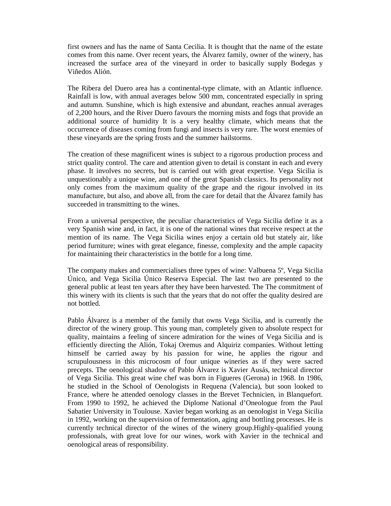first owners and has the name of Santa Cecilia. It is thought that the name of the estate comes from this name. Over recent years, the Álvarez family, owner of the winery, has increased the surface area of the vineyard in order to basically supply Bodegas y Viñedos Alión.

The Ribera del Duero area has a continental-type climate, with an Atlantic influence. Rainfall is low, with annual averages below 500 mm, concentrated especially in spring and autumn. Sunshine, which is high extensive and abundant, reaches annual averages of 2,200 hours, and the River Duero favours the morning mists and fogs that provide an additional source of humidity It is a very healthy climate, which means that the occurrence of diseases coming from fungi and insects is very rare. The worst enemies of these vineyards are the spring frosts and the summer hailstorms.

The creation of these magnificent wines is subject to a rigorous production process and strict quality control. The care and attention given to detail is constant in each and every phase. It involves no secrets, but is carried out with great expertise. Vega Sicilia is unquestionably a unique wine, and one of the great Spanish classics. Its personality not only comes from the maximum quality of the grape and the rigour involved in its manufacture, but also, and above all, from the care for detail that the Álvarez family has succeeded in transmitting to the wines.

From a universal perspective, the peculiar characteristics of Vega Sicilia define it as a very Spanish wine and, in fact, it is one of the national wines that receive respect at the mention of its name. The Vega Sicilia wines enjoy a certain old but stately air, like period furniture; wines with great elegance, finesse, complexity and the ample capacity for maintaining their characteristics in the bottle for a long time.

The company makes and commercialises three types of wine: Valbuena 5º, Vega Sicilia Único, and Vega Sicilia Único Reserva Especial. The last two are presented to the general public at least ten years after they have been harvested. The The commitment of this winery with its clients is such that the years that do not offer the quality desired are not bottled.

Pablo Álvarez is a member of the family that owns Vega Sicilia, and is currently the director of the winery group. This young man, completely given to absolute respect for quality, maintains a feeling of sincere admiration for the wines of Vega Sicilia and is efficiently directing the Alión, Tokaj Oremus and Alquiriz companies. Without letting himself be carried away by his passion for wine, he applies the rigour and scrupulousness in this microcosm of four unique wineries as if they were sacred precepts. The oenological shadow of Pablo Álvarez is Xavier Ausás, technical director of Vega Sicilia. This great wine chef was born in Figueres (Gerona) in 1968. In 1986, he studied in the School of Oenologists in Requena (Valencia), but soon looked to France, where he attended oenology classes in the Brevet Technicien, in Blanquefort. From 1990 to 1992, he achieved the Diplome National d'Oneologue from the Paul Sabatier University in Toulouse. Xavier began working as an oenologist in Vega Sicilia in 1992, working on the supervision of fermentation, aging and bottling processes. He is currently technical director of the wines of the winery group.Highly-qualified young professionals, with great love for our wines, work with Xavier in the technical and oenological areas of responsibility.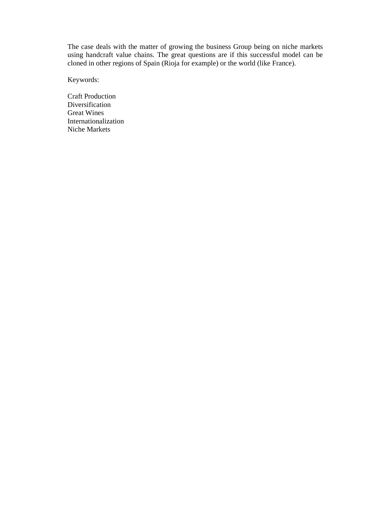The case deals with the matter of growing the business Group being on niche markets using handcraft value chains. The great questions are if this successful model can be cloned in other regions of Spain (Rioja for example) or the world (like France).

Keywords:

Craft Production Diversification Great Wines Internationalization Niche Markets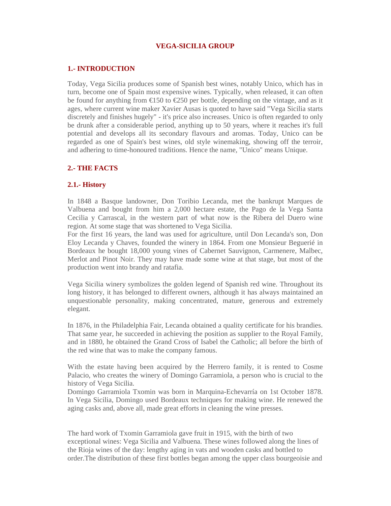#### **1.- INTRODUCTION**

Today, Vega Sicilia produces some of Spanish best wines, notably Unico, which has in turn, become one of Spain most expensive wines. Typically, when released, it can often be found for anything from  $\epsilon$ 150 to  $\epsilon$ 250 per bottle, depending on the vintage, and as it ages, where current wine maker Xavier Ausas is quoted to have said "Vega Sicilia starts discretely and finishes hugely" - it's price also increases. Unico is often regarded to only be drunk after a considerable period, anything up to 50 years, where it reaches it's full potential and develops all its secondary flavours and aromas. Today, Unico can be regarded as one of Spain's best wines, old style winemaking, showing off the terroir, and adhering to time-honoured traditions. Hence the name, "Unico" means Unique.

### **2.- THE FACTS**

#### **2.1.- History**

In 1848 a Basque landowner, Don Toribio Lecanda, met the bankrupt Marques de Valbuena and bought from him a 2,000 hectare estate, the Pago de la Vega Santa Cecilia y Carrascal, in the western part of what now is the Ribera del Duero wine region. At some stage that was shortened to Vega Sicilia.

For the first 16 years, the land was used for agriculture, until Don Lecanda's son, Don Eloy Lecanda y Chaves, founded the winery in 1864. From one Monsieur Beguerié in Bordeaux he bought 18,000 young vines of Cabernet Sauvignon, Carmenere, Malbec, Merlot and Pinot Noir. They may have made some wine at that stage, but most of the production went into brandy and ratafia.

Vega Sicilia winery symbolizes the golden legend of Spanish red wine. Throughout its long history, it has belonged to different owners, although it has always maintained an unquestionable personality, making concentrated, mature, generous and extremely elegant.

In 1876, in the Philadelphia Fair, Lecanda obtained a quality certificate for his brandies. That same year, he succeeded in achieving the position as supplier to the Royal Family, and in 1880, he obtained the Grand Cross of Isabel the Catholic; all before the birth of the red wine that was to make the company famous.

With the estate having been acquired by the Herrero family, it is rented to Cosme Palacio, who creates the winery of Domingo Garramiola, a person who is crucial to the history of Vega Sicilia.

Domingo Garramiola Txomin was born in Marquina-Echevarría on 1st October 1878. In Vega Sicilia, Domingo used Bordeaux techniques for making wine. He renewed the aging casks and, above all, made great efforts in cleaning the wine presses.

The hard work of Txomin Garramiola gave fruit in 1915, with the birth of two exceptional wines: Vega Sicilia and Valbuena. These wines followed along the lines of the Rioja wines of the day: lengthy aging in vats and wooden casks and bottled to order.The distribution of these first bottles began among the upper class bourgeoisie and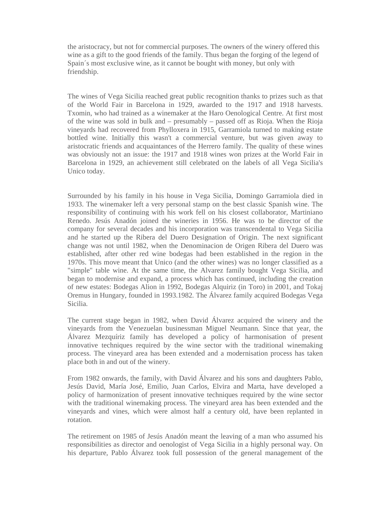the aristocracy, but not for commercial purposes. The owners of the winery offered this wine as a gift to the good friends of the family. Thus began the forging of the legend of Spain´s most exclusive wine, as it cannot be bought with money, but only with friendship.

The wines of Vega Sicilia reached great public recognition thanks to prizes such as that of the World Fair in Barcelona in 1929, awarded to the 1917 and 1918 harvests. Txomin, who had trained as a winemaker at the Haro Oenological Centre. At first most of the wine was sold in bulk and – presumably – passed off as Rioja. When the Rioja vineyards had recovered from Phylloxera in 1915, Garramiola turned to making estate bottled wine. Initially this wasn't a commercial venture, but was given away to aristocratic friends and acquaintances of the Herrero family. The quality of these wines was obviously not an issue: the 1917 and 1918 wines won prizes at the World Fair in Barcelona in 1929, an achievement still celebrated on the labels of all Vega Sicilia's Unico today.

Surrounded by his family in his house in Vega Sicilia, Domingo Garramiola died in 1933. The winemaker left a very personal stamp on the best classic Spanish wine. The responsibility of continuing with his work fell on his closest collaborator, Martiniano Renedo. Jesús Anadón joined the wineries in 1956. He was to be director of the company for several decades and his incorporation was transcendental to Vega Sicilia and he started up the Ribera del Duero Designation of Origin. The next significant change was not until 1982, when the Denominacion de Origen Ribera del Duero was established, after other red wine bodegas had been established in the region in the 1970s. This move meant that Unico (and the other wines) was no longer classified as a "simple" table wine. At the same time, the Alvarez family bought Vega Sicilia, and began to modernise and expand, a process which has continued, including the creation of new estates: Bodegas Alion in 1992, Bodegas Alquiriz (in Toro) in 2001, and Tokaj Oremus in Hungary, founded in 1993.1982. The Álvarez family acquired Bodegas Vega Sicilia.

The current stage began in 1982, when David Álvarez acquired the winery and the vineyards from the Venezuelan businessman Miguel Neumann. Since that year, the Álvarez Mezquíriz family has developed a policy of harmonisation of present innovative techniques required by the wine sector with the traditional winemaking process. The vineyard area has been extended and a modernisation process has taken place both in and out of the winery.

From 1982 onwards, the family, with David Álvarez and his sons and daughters Pablo, Jesús David, María José, Emilio, Juan Carlos, Elvira and Marta, have developed a policy of harmonization of present innovative techniques required by the wine sector with the traditional winemaking process. The vineyard area has been extended and the vineyards and vines, which were almost half a century old, have been replanted in rotation.

The retirement on 1985 of Jesús Anadón meant the leaving of a man who assumed his responsibilities as director and oenologist of Vega Sicilia in a highly personal way. On his departure, Pablo Álvarez took full possession of the general management of the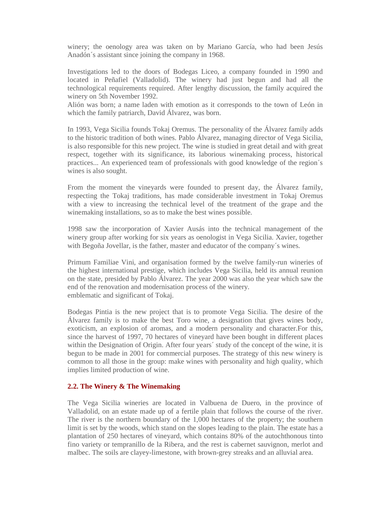winery; the oenology area was taken on by Mariano García, who had been Jesús Anadón´s assistant since joining the company in 1968.

Investigations led to the doors of Bodegas Liceo, a company founded in 1990 and located in Peñafiel (Valladolid). The winery had just begun and had all the technological requirements required. After lengthy discussion, the family acquired the winery on 5th November 1992.

Alión was born; a name laden with emotion as it corresponds to the town of León in which the family patriarch, David Álvarez, was born.

In 1993, Vega Sicilia founds Tokaj Oremus. The personality of the Álvarez family adds to the historic tradition of both wines. Pablo Álvarez, managing director of Vega Sicilia, is also responsible for this new project. The wine is studied in great detail and with great respect, together with its significance, its laborious winemaking process, historical practices... An experienced team of professionals with good knowledge of the region´s wines is also sought.

From the moment the vineyards were founded to present day, the Álvarez family, respecting the Tokaj traditions, has made considerable investment in Tokaj Oremus with a view to increasing the technical level of the treatment of the grape and the winemaking installations, so as to make the best wines possible.

1998 saw the incorporation of Xavier Ausás into the technical management of the winery group after working for six years as oenologist in Vega Sicilia. Xavier, together with Begoña Jovellar, is the father, master and educator of the company´s wines.

Primum Familiae Vini, and organisation formed by the twelve family-run wineries of the highest international prestige, which includes Vega Sicilia, held its annual reunion on the state, presided by Pablo Álvarez. The year 2000 was also the year which saw the end of the renovation and modernisation process of the winery. emblematic and significant of Tokaj.

Bodegas Pintia is the new project that is to promote Vega Sicilia. The desire of the Álvarez family is to make the best Toro wine, a designation that gives wines body, exoticism, an explosion of aromas, and a modern personality and character.For this, since the harvest of 1997, 70 hectares of vineyard have been bought in different places within the Designation of Origin. After four years' study of the concept of the wine, it is begun to be made in 2001 for commercial purposes. The strategy of this new winery is common to all those in the group: make wines with personality and high quality, which implies limited production of wine.

#### **2.2. The Winery & The Winemaking**

The Vega Sicilia wineries are located in Valbuena de Duero, in the province of Valladolid, on an estate made up of a fertile plain that follows the course of the river. The river is the northern boundary of the 1,000 hectares of the property; the southern limit is set by the woods, which stand on the slopes leading to the plain. The estate has a plantation of 250 hectares of vineyard, which contains 80% of the autochthonous tinto fino variety or tempranillo de la Ribera, and the rest is cabernet sauvignon, merlot and malbec. The soils are clayey-limestone, with brown-grey streaks and an alluvial area.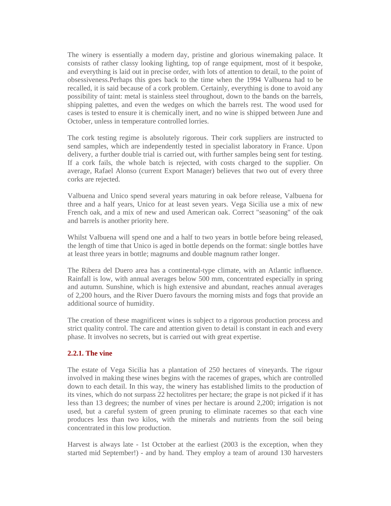The winery is essentially a modern day, pristine and glorious winemaking palace. It consists of rather classy looking lighting, top of range equipment, most of it bespoke, and everything is laid out in precise order, with lots of attention to detail, to the point of obsessiveness.Perhaps this goes back to the time when the 1994 Valbuena had to be recalled, it is said because of a cork problem. Certainly, everything is done to avoid any possibility of taint: metal is stainless steel throughout, down to the bands on the barrels, shipping palettes, and even the wedges on which the barrels rest. The wood used for cases is tested to ensure it is chemically inert, and no wine is shipped between June and October, unless in temperature controlled lorries.

The cork testing regime is absolutely rigorous. Their cork suppliers are instructed to send samples, which are independently tested in specialist laboratory in France. Upon delivery, a further double trial is carried out, with further samples being sent for testing. If a cork fails, the whole batch is rejected, with costs charged to the supplier. On average, Rafael Alonso (current Export Manager) believes that two out of every three corks are rejected.

Valbuena and Unico spend several years maturing in oak before release, Valbuena for three and a half years, Unico for at least seven years. Vega Sicilia use a mix of new French oak, and a mix of new and used American oak. Correct "seasoning" of the oak and barrels is another priority here.

Whilst Valbuena will spend one and a half to two years in bottle before being released, the length of time that Unico is aged in bottle depends on the format: single bottles have at least three years in bottle; magnums and double magnum rather longer.

The Ribera del Duero area has a continental-type climate, with an Atlantic influence. Rainfall is low, with annual averages below 500 mm, concentrated especially in spring and autumn. Sunshine, which is high extensive and abundant, reaches annual averages of 2,200 hours, and the River Duero favours the morning mists and fogs that provide an additional source of humidity.

The creation of these magnificent wines is subject to a rigorous production process and strict quality control. The care and attention given to detail is constant in each and every phase. It involves no secrets, but is carried out with great expertise.

#### **2.2.1. The vine**

The estate of Vega Sicilia has a plantation of 250 hectares of vineyards. The rigour involved in making these wines begins with the racemes of grapes, which are controlled down to each detail. In this way, the winery has established limits to the production of its vines, which do not surpass 22 hectolitres per hectare; the grape is not picked if it has less than 13 degrees; the number of vines per hectare is around 2,200; irrigation is not used, but a careful system of green pruning to eliminate racemes so that each vine produces less than two kilos, with the minerals and nutrients from the soil being concentrated in this low production.

Harvest is always late - 1st October at the earliest (2003 is the exception, when they started mid September!) - and by hand. They employ a team of around 130 harvesters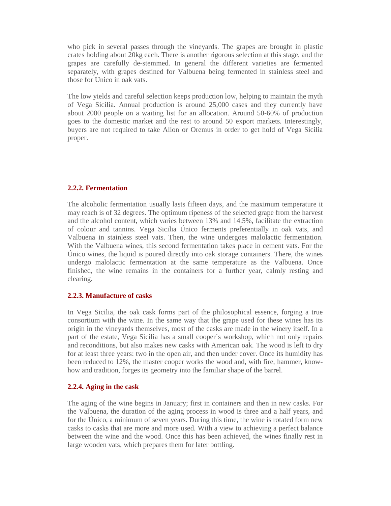who pick in several passes through the vineyards. The grapes are brought in plastic crates holding about 20kg each. There is another rigorous selection at this stage, and the grapes are carefully de-stemmed. In general the different varieties are fermented separately, with grapes destined for Valbuena being fermented in stainless steel and those for Unico in oak vats.

The low yields and careful selection keeps production low, helping to maintain the myth of Vega Sicilia. Annual production is around 25,000 cases and they currently have about 2000 people on a waiting list for an allocation. Around 50-60% of production goes to the domestic market and the rest to around 50 export markets. Interestingly, buyers are not required to take Alion or Oremus in order to get hold of Vega Sicilia proper.

## **2.2.2. Fermentation**

The alcoholic fermentation usually lasts fifteen days, and the maximum temperature it may reach is of 32 degrees. The optimum ripeness of the selected grape from the harvest and the alcohol content, which varies between 13% and 14.5%, facilitate the extraction of colour and tannins. Vega Sicilia Único ferments preferentially in oak vats, and Valbuena in stainless steel vats. Then, the wine undergoes malolactic fermentation. With the Valbuena wines, this second fermentation takes place in cement vats. For the Único wines, the liquid is poured directly into oak storage containers. There, the wines undergo malolactic fermentation at the same temperature as the Valbuena. Once finished, the wine remains in the containers for a further year, calmly resting and clearing.

#### **2.2.3. Manufacture of casks**

In Vega Sicilia, the oak cask forms part of the philosophical essence, forging a true consortium with the wine. In the same way that the grape used for these wines has its origin in the vineyards themselves, most of the casks are made in the winery itself. In a part of the estate, Vega Sicilia has a small cooper´s workshop, which not only repairs and reconditions, but also makes new casks with American oak. The wood is left to dry for at least three years: two in the open air, and then under cover. Once its humidity has been reduced to 12%, the master cooper works the wood and, with fire, hammer, knowhow and tradition, forges its geometry into the familiar shape of the barrel.

## **2.2.4. Aging in the cask**

The aging of the wine begins in January; first in containers and then in new casks. For the Valbuena, the duration of the aging process in wood is three and a half years, and for the Único, a minimum of seven years. During this time, the wine is rotated form new casks to casks that are more and more used. With a view to achieving a perfect balance between the wine and the wood. Once this has been achieved, the wines finally rest in large wooden vats, which prepares them for later bottling.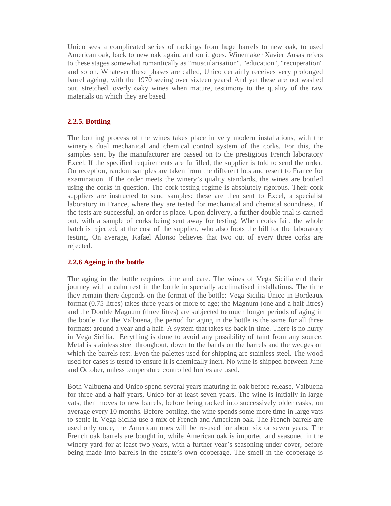Unico sees a complicated series of rackings from huge barrels to new oak, to used American oak, back to new oak again, and on it goes. Winemaker Xavier Ausas refers to these stages somewhat romantically as "muscularisation", "education", "recuperation" and so on. Whatever these phases are called, Unico certainly receives very prolonged barrel ageing, with the 1970 seeing over sixteen years! And yet these are not washed out, stretched, overly oaky wines when mature, testimony to the quality of the raw materials on which they are based

## **2.2.5. Bottling**

The bottling process of the wines takes place in very modern installations, with the winery's dual mechanical and chemical control system of the corks. For this, the samples sent by the manufacturer are passed on to the prestigious French laboratory Excel. If the specified requirements are fulfilled, the supplier is told to send the order. On reception, random samples are taken from the different lots and resent to France for examination. If the order meets the winery's quality standards, the wines are bottled using the corks in question. The cork testing regime is absolutely rigorous. Their cork suppliers are instructed to send samples: these are then sent to Excel, a specialist laboratory in France, where they are tested for mechanical and chemical soundness. If the tests are successful, an order is place. Upon delivery, a further double trial is carried out, with a sample of corks being sent away for testing. When corks fail, the whole batch is rejected, at the cost of the supplier, who also foots the bill for the laboratory testing. On average, Rafael Alonso believes that two out of every three corks are rejected.

## **2.2.6 Ageing in the bottle**

The aging in the bottle requires time and care. The wines of Vega Sicilia end their journey with a calm rest in the bottle in specially acclimatised installations. The time they remain there depends on the format of the bottle: Vega Sicilia Único in Bordeaux format (0.75 litres) takes three years or more to age; the Magnum (one and a half litres) and the Double Magnum (three litres) are subjected to much longer periods of aging in the bottle. For the Valbuena, the period for aging in the bottle is the same for all three formats: around a year and a half. A system that takes us back in time. There is no hurry in Vega Sicilia. Eerything is done to avoid any possibility of taint from any source. Metal is stainless steel throughout, down to the bands on the barrels and the wedges on which the barrels rest. Even the palettes used for shipping are stainless steel. The wood used for cases is tested to ensure it is chemically inert. No wine is shipped between June and October, unless temperature controlled lorries are used.

Both Valbuena and Unico spend several years maturing in oak before release, Valbuena for three and a half years, Unico for at least seven years. The wine is initially in large vats, then moves to new barrels, before being racked into successively older casks, on average every 10 months. Before bottling, the wine spends some more time in large vats to settle it. Vega Sicilia use a mix of French and American oak. The French barrels are used only once, the American ones will be re-used for about six or seven years. The French oak barrels are bought in, while American oak is imported and seasoned in the winery yard for at least two years, with a further year's seasoning under cover, before being made into barrels in the estate's own cooperage. The smell in the cooperage is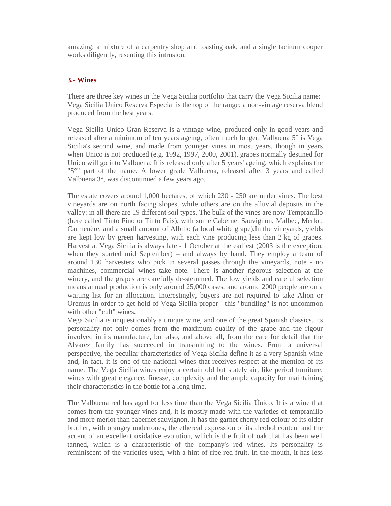amazing: a mixture of a carpentry shop and toasting oak, and a single taciturn cooper works diligently, resenting this intrusion.

## **3.- Wines**

There are three key wines in the Vega Sicilia portfolio that carry the Vega Sicilia name: Vega Sicilia Unico Reserva Especial is the top of the range; a non-vintage reserva blend produced from the best years.

Vega Sicilia Unico Gran Reserva is a vintage wine, produced only in good years and released after a minimum of ten years ageing, often much longer. Valbuena 5° is Vega Sicilia's second wine, and made from younger vines in most years, though in years when Unico is not produced (e.g. 1992, 1997, 2000, 2001), grapes normally destined for Unico will go into Valbuena. It is released only after 5 years' ageing, which explains the "5°" part of the name. A lower grade Valbuena, released after 3 years and called Valbuena 3°, was discontinued a few years ago.

The estate covers around 1,000 hectares, of which 230 - 250 are under vines. The best vineyards are on north facing slopes, while others are on the alluvial deposits in the valley: in all there are 19 different soil types. The bulk of the vines are now Tempranillo (here called Tinto Fino or Tinto Pais), with some Cabernet Sauvignon, Malbec, Merlot, Carmenère, and a small amount of Albillo (a local white grape).In the vineyards, yields are kept low by green harvesting, with each vine producing less than 2 kg of grapes. Harvest at Vega Sicilia is always late - 1 October at the earliest (2003 is the exception, when they started mid September) – and always by hand. They employ a team of around 130 harvesters who pick in several passes through the vineyards, note - no machines, commercial wines take note. There is another rigorous selection at the winery, and the grapes are carefully de-stemmed. The low yields and careful selection means annual production is only around 25,000 cases, and around 2000 people are on a waiting list for an allocation. Interestingly, buyers are not required to take Alion or Oremus in order to get hold of Vega Sicilia proper - this "bundling" is not uncommon with other "cult" wines.

Vega Sicilia is unquestionably a unique wine, and one of the great Spanish classics. Its personality not only comes from the maximum quality of the grape and the rigour involved in its manufacture, but also, and above all, from the care for detail that the Álvarez family has succeeded in transmitting to the wines. From a universal perspective, the peculiar characteristics of Vega Sicilia define it as a very Spanish wine and, in fact, it is one of the national wines that receives respect at the mention of its name. The Vega Sicilia wines enjoy a certain old but stately air, like period furniture; wines with great elegance, finesse, complexity and the ample capacity for maintaining their characteristics in the bottle for a long time.

The Valbuena red has aged for less time than the Vega Sicilia Único. It is a wine that comes from the younger vines and, it is mostly made with the varieties of tempranillo and more merlot than cabernet sauvignon. It has the garnet cherry red colour of its older brother, with orangey undertones, the ethereal expression of its alcohol content and the accent of an excellent oxidative evolution, which is the fruit of oak that has been well tanned, which is a characteristic of the company's red wines. Its personality is reminiscent of the varieties used, with a hint of ripe red fruit. In the mouth, it has less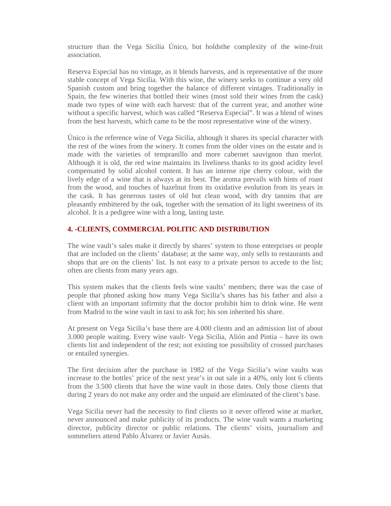structure than the Vega Sicilia Único, but holdsthe complexity of the wine-fruit association.

Reserva Especial has no vintage, as it blends harvests, and is representative of the more stable concept of Vega Sicilia. With this wine, the winery seeks to continue a very old Spanish custom and bring together the balance of different vintages. Traditionally in Spain, the few wineries that bottled their wines (most sold their wines from the cask) made two types of wine with each harvest: that of the current year, and another wine without a specific harvest, which was called "Reserva Especial". It was a blend of wines from the best harvests, which came to be the most representative wine of the winery.

Único is the reference wine of Vega Sicilia, although it shares its special character with the rest of the wines from the winery. It comes from the older vines on the estate and is made with the varieties of tempranillo and more cabernet sauvignon than merlot. Although it is old, the red wine maintains its liveliness thanks to its good acidity level compensated by solid alcohol content. It has an intense ripe cherry colour, with the lively edge of a wine that is always at its best. The aroma prevails with hints of roast from the wood, and touches of hazelnut from its oxidative evolution from its years in the cask. It has generous tastes of old but clean wood, with dry tannins that are pleasantly embittered by the oak, together with the sensation of its light sweetness of its alcohol. It is a pedigree wine with a long, lasting taste.

## **4. -CLIENTS, COMMERCIAL POLITIC AND DISTRIBUTION**

The wine vault's sales make it directly by shares' system to those enterprises or people that are included on the clients' database; at the same way, only sells to restaurants and shops that are on the clients' list. Is not easy to a private person to accede to the list; often are clients from many years ago.

This system makes that the clients feels wine vaults' members; there was the case of people that phoned asking how many Vega Sicilia's shares has his father and also a client with an important infirmity that the doctor prohibit him to drink wine. He went from Madrid to the wine vault in taxi to ask for; his son inherited his share.

At present on Vega Sicilia's base there are 4.000 clients and an admission list of about 3.000 people waiting. Every wine vault- Vega Sicilia, Alión and Pintia – have its own clients list and independent of the rest; not existing toe possibility of crossed purchases or entailed synergies.

The first decision after the purchase in 1982 of the Vega Sicilia's wine vaults was increase to the bottles' price of the next year's in out sale in a 40%, only lost 6 clients from the 3.500 clients that have the wine vault in those dates. Only those clients that during 2 years do not make any order and the unpaid are eliminated of the client's base.

Vega Sicilia never had the necessity to find clients so it never offered wine at market, never announced and make publicity of its products. The wine vault wants a marketing director, publicity director or public relations. The clients' visits, journalism and sommeliers attend Pablo Álvarez or Javier Ausás.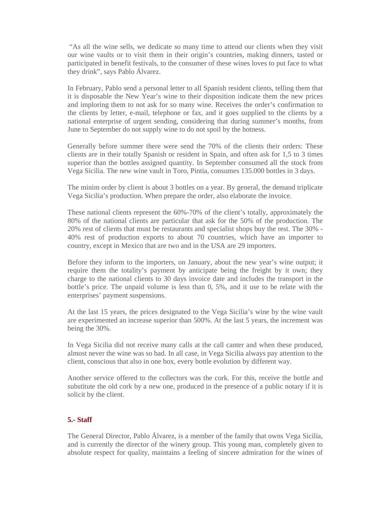"As all the wine sells, we dedicate so many time to attend our clients when they visit our wine vaults or to visit them in their origin's countries, making dinners, tasted or participated in benefit festivals, to the consumer of these wines loves to put face to what they drink", says Pablo Álvarez.

In February, Pablo send a personal letter to all Spanish resident clients, telling them that it is disposable the New Year's wine to their disposition indicate them the new prices and imploring them to not ask for so many wine. Receives the order's confirmation to the clients by letter, e-mail, telephone or fax, and it goes supplied to the clients by a national enterprise of urgent sending, considering that during summer's months, from June to September do not supply wine to do not spoil by the hotness.

Generally before summer there were send the 70% of the clients their orders: These clients are in their totally Spanish or resident in Spain, and often ask for 1,5 to 3 times superior than the bottles assigned quantity. In September consumed all the stock from Vega Sicilia. The new wine vault in Toro, Pintia, consumes 135.000 bottles in 3 days.

The minim order by client is about 3 bottles on a year. By general, the demand triplicate Vega Sicilia's production. When prepare the order, also elaborate the invoice.

These national clients represent the 60%-70% of the client's totally, approximately the 80% of the national clients are particular that ask for the 50% of the production. The 20% rest of clients that must be restaurants and specialist shops buy the rest. The 30% - 40% rest of production exports to about 70 countries, which have an importer to country, except in Mexico that are two and in the USA are 29 importers.

Before they inform to the importers, on January, about the new year's wine output; it require them the totality's payment by anticipate being the freight by it own; they charge to the national clients to 30 days invoice date and includes the transport in the bottle's price. The unpaid volume is less than 0, 5%, and it use to be relate with the enterprises' payment suspensions.

At the last 15 years, the prices designated to the Vega Sicilia's wine by the wine vault are experimented an increase superior than 500%. At the last 5 years, the increment was being the 30%.

In Vega Sicilia did not receive many calls at the call canter and when these produced, almost never the wine was so bad. In all case, in Vega Sicilia always pay attention to the client, conscious that also in one box, every bottle evolution by different way.

Another service offered to the collectors was the cork. For this, receive the bottle and substitute the old cork by a new one, produced in the presence of a public notary if it is solicit by the client.

## **5.- Staff**

The General Director, Pablo Álvarez, is a member of the family that owns Vega Sicilia, and is currently the director of the winery group. This young man, completely given to absolute respect for quality, maintains a feeling of sincere admiration for the wines of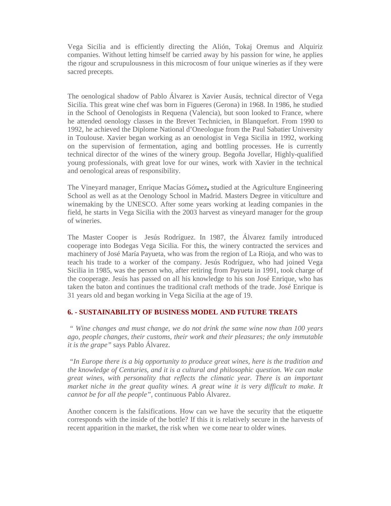Vega Sicilia and is efficiently directing the Alión, Tokaj Oremus and Alquiriz companies. Without letting himself be carried away by his passion for wine, he applies the rigour and scrupulousness in this microcosm of four unique wineries as if they were sacred precepts.

The oenological shadow of Pablo Álvarez is Xavier Ausás, technical director of Vega Sicilia. This great wine chef was born in Figueres (Gerona) in 1968. In 1986, he studied in the School of Oenologists in Requena (Valencia), but soon looked to France, where he attended oenology classes in the Brevet Technicien, in Blanquefort. From 1990 to 1992, he achieved the Diplome National d'Oneologue from the Paul Sabatier University in Toulouse. Xavier began working as an oenologist in Vega Sicilia in 1992, working on the supervision of fermentation, aging and bottling processes. He is currently technical director of the wines of the winery group. Begoña Jovellar, Highly-qualified young professionals, with great love for our wines, work with Xavier in the technical and oenological areas of responsibility.

The Vineyard manager, Enrique Macías Gómez**,** studied at the Agriculture Engineering School as well as at the Oenology School in Madrid. Masters Degree in viticulture and winemaking by the UNESCO. After some years working at leading companies in the field, he starts in Vega Sicilia with the 2003 harvest as vineyard manager for the group of wineries.

The Master Cooper is Jesús Rodríguez. In 1987, the Álvarez family introduced cooperage into Bodegas Vega Sicilia. For this, the winery contracted the services and machinery of José María Payueta, who was from the region of La Rioja, and who was to teach his trade to a worker of the company. Jesús Rodríguez, who had joined Vega Sicilia in 1985, was the person who, after retiring from Payueta in 1991, took charge of the cooperage. Jesús has passed on all his knowledge to his son José Enrique, who has taken the baton and continues the traditional craft methods of the trade. José Enrique is 31 years old and began working in Vega Sicilia at the age of 19.

## **6. - SUSTAINABILITY OF BUSINESS MODEL AND FUTURE TREATS**

*" Wine changes and must change, we do not drink the same wine now than 100 years ago, people changes, their customs, their work and their pleasures; the only immutable it is the grape"* says Pablo Álvarez.

*"In Europe there is a big opportunity to produce great wines, here is the tradition and the knowledge of Centuries, and it is a cultural and philosophic question. We can make great wines, with personality that reflects the climatic year. There is an important market niche in the great quality wines. A great wine it is very difficult to make. It cannot be for all the people",* continuous Pablo Álvarez.

Another concern is the falsifications. How can we have the security that the etiquette corresponds with the inside of the bottle? If this it is relatively secure in the harvests of recent apparition in the market, the risk when we come near to older wines.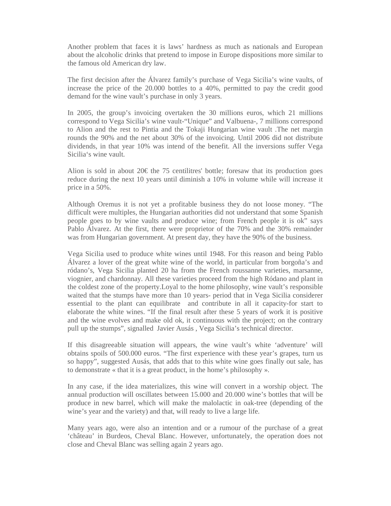Another problem that faces it is laws' hardness as much as nationals and European about the alcoholic drinks that pretend to impose in Europe dispositions more similar to the famous old American dry law.

The first decision after the Álvarez family's purchase of Vega Sicilia's wine vaults, of increase the price of the 20.000 bottles to a 40%, permitted to pay the credit good demand for the wine vault's purchase in only 3 years.

In 2005, the group's invoicing overtaken the 30 millions euros, which 21 millions correspond to Vega Sicilia's wine vault-"Unique" and Valbuena-, 7 millions correspond to Alion and the rest to Pintia and the Tokaji Hungarian wine vault .The net margin rounds the 90% and the net about 30% of the invoicing. Until 2006 did not distribute dividends, in that year 10% was intend of the benefit. All the inversions suffer Vega Sicilia's wine vault.

Alion is sold in about  $20 \in \mathbb{R}$  the 75 centilities' bottle; foresaw that its production goes reduce during the next 10 years until diminish a 10% in volume while will increase it price in a 50%.

Although Oremus it is not yet a profitable business they do not loose money. "The difficult were multiples, the Hungarian authorities did not understand that some Spanish people goes to by wine vaults and produce wine; from French people it is ok" says Pablo Álvarez. At the first, there were proprietor of the 70% and the 30% remainder was from Hungarian government. At present day, they have the 90% of the business.

Vega Sicilia used to produce white wines until 1948. For this reason and being Pablo Álvarez a lover of the great white wine of the world, in particular from borgoña's and ródano's, Vega Sicilia planted 20 ha from the French roussanne varieties, marsanne, viognier, and chardonnay. All these varieties proceed from the high Ródano and plant in the coldest zone of the property.Loyal to the home philosophy, wine vault's responsible waited that the stumps have more than 10 years- period that in Vega Sicilia considerer essential to the plant can equilibrate and contribute in all it capacity-for start to elaborate the white wines. "If the final result after these 5 years of work it is positive and the wine evolves and make old ok, it continuous with the project; on the contrary pull up the stumps", signalled Javier Ausás , Vega Sicilia's technical director.

If this disagreeable situation will appears, the wine vault's white 'adventure' will obtains spoils of 500.000 euros. "The first experience with these year's grapes, turn us so happy", suggested Ausás, that adds that to this white wine goes finally out sale, has to demonstrate « that it is a great product, in the home's philosophy ».

In any case, if the idea materializes, this wine will convert in a worship object. The annual production will oscillates between 15.000 and 20.000 wine's bottles that will be produce in new barrel, which will make the malolactic in oak-tree (depending of the wine's year and the variety) and that, will ready to live a large life.

Many years ago, were also an intention and or a rumour of the purchase of a great 'château' in Burdeos, Cheval Blanc. However, unfortunately, the operation does not close and Cheval Blanc was selling again 2 years ago.